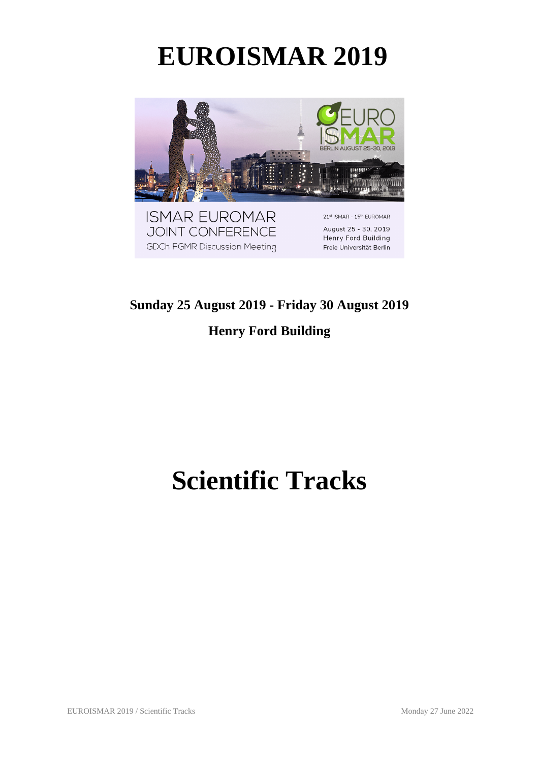# **EUROISMAR 2019**



#### **Sunday 25 August 2019 - Friday 30 August 2019**

#### **Henry Ford Building**

# **Scientific Tracks**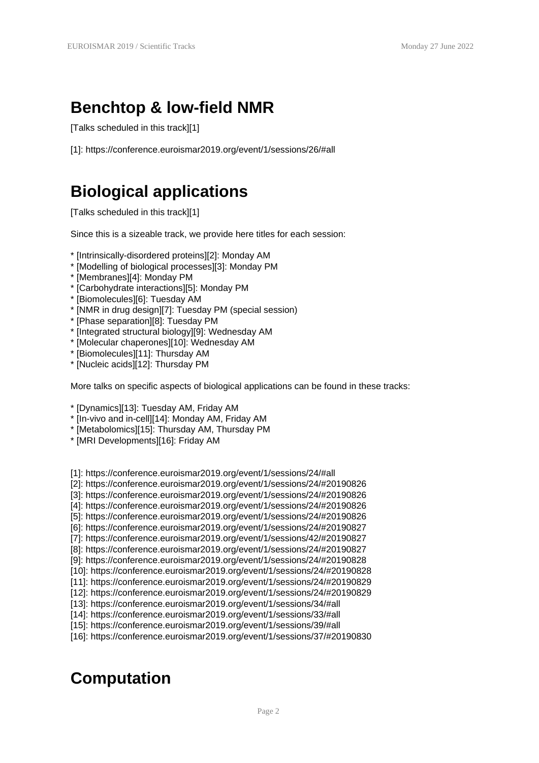## **Benchtop & low-field NMR**

[Talks scheduled in this track][1]

[1]: https://conference.euroismar2019.org/event/1/sessions/26/#all

## **Biological applications**

[Talks scheduled in this track][1]

Since this is a sizeable track, we provide here titles for each session:

- \* [Intrinsically-disordered proteins][2]: Monday AM
- \* [Modelling of biological processes][3]: Monday PM
- \* [Membranes][4]: Monday PM
- \* [Carbohydrate interactions][5]: Monday PM
- \* [Biomolecules][6]: Tuesday AM
- \* [NMR in drug design][7]: Tuesday PM (special session)
- \* [Phase separation][8]: Tuesday PM
- \* [Integrated structural biology][9]: Wednesday AM
- \* [Molecular chaperones][10]: Wednesday AM
- \* [Biomolecules][11]: Thursday AM
- \* [Nucleic acids][12]: Thursday PM

More talks on specific aspects of biological applications can be found in these tracks:

- \* [Dynamics][13]: Tuesday AM, Friday AM
- \* [In-vivo and in-cell][14]: Monday AM, Friday AM
- \* [Metabolomics][15]: Thursday AM, Thursday PM
- \* [MRI Developments][16]: Friday AM

[1]: https://conference.euroismar2019.org/event/1/sessions/24/#all

- [2]: https://conference.euroismar2019.org/event/1/sessions/24/#20190826
- [3]: https://conference.euroismar2019.org/event/1/sessions/24/#20190826
- [4]: https://conference.euroismar2019.org/event/1/sessions/24/#20190826
- [5]: https://conference.euroismar2019.org/event/1/sessions/24/#20190826
- [6]: https://conference.euroismar2019.org/event/1/sessions/24/#20190827
- [7]: https://conference.euroismar2019.org/event/1/sessions/42/#20190827
- [8]: https://conference.euroismar2019.org/event/1/sessions/24/#20190827
- [9]: https://conference.euroismar2019.org/event/1/sessions/24/#20190828
- [10]: https://conference.euroismar2019.org/event/1/sessions/24/#20190828
- [11]: https://conference.euroismar2019.org/event/1/sessions/24/#20190829
- [12]: https://conference.euroismar2019.org/event/1/sessions/24/#20190829
- [13]: https://conference.euroismar2019.org/event/1/sessions/34/#all
- [14]: https://conference.euroismar2019.org/event/1/sessions/33/#all
- [15]: https://conference.euroismar2019.org/event/1/sessions/39/#all [16]: https://conference.euroismar2019.org/event/1/sessions/37/#20190830

# **Computation**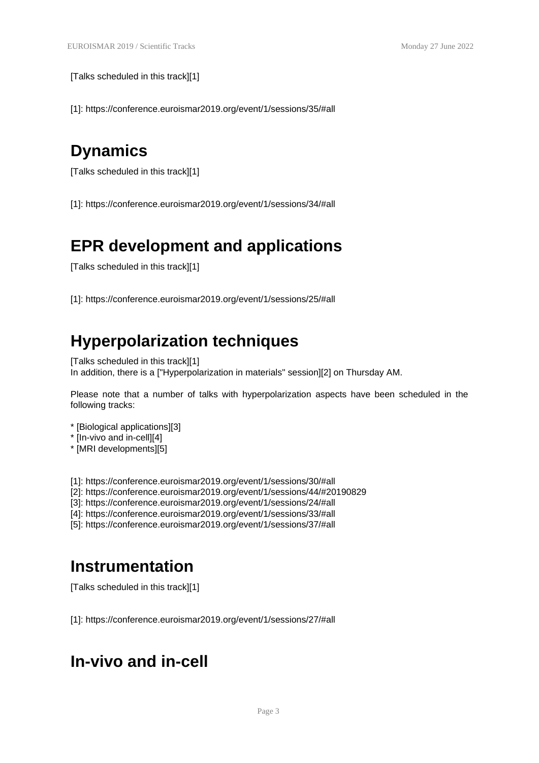[Talks scheduled in this track][1]

[1]: https://conference.euroismar2019.org/event/1/sessions/35/#all

## **Dynamics**

[Talks scheduled in this track][1]

[1]: https://conference.euroismar2019.org/event/1/sessions/34/#all

## **EPR development and applications**

[Talks scheduled in this track][1]

[1]: https://conference.euroismar2019.org/event/1/sessions/25/#all

## **Hyperpolarization techniques**

[Talks scheduled in this track][1] In addition, there is a ["Hyperpolarization in materials" session][2] on Thursday AM.

Please note that a number of talks with hyperpolarization aspects have been scheduled in the following tracks:

- \* [Biological applications][3]
- \* [In-vivo and in-cell][4]
- \* [MRI developments][5]

[1]: https://conference.euroismar2019.org/event/1/sessions/30/#all

[2]: https://conference.euroismar2019.org/event/1/sessions/44/#20190829

[3]: https://conference.euroismar2019.org/event/1/sessions/24/#all

[4]: https://conference.euroismar2019.org/event/1/sessions/33/#all

[5]: https://conference.euroismar2019.org/event/1/sessions/37/#all

## **Instrumentation**

[Talks scheduled in this track][1]

[1]: https://conference.euroismar2019.org/event/1/sessions/27/#all

## **In-vivo and in-cell**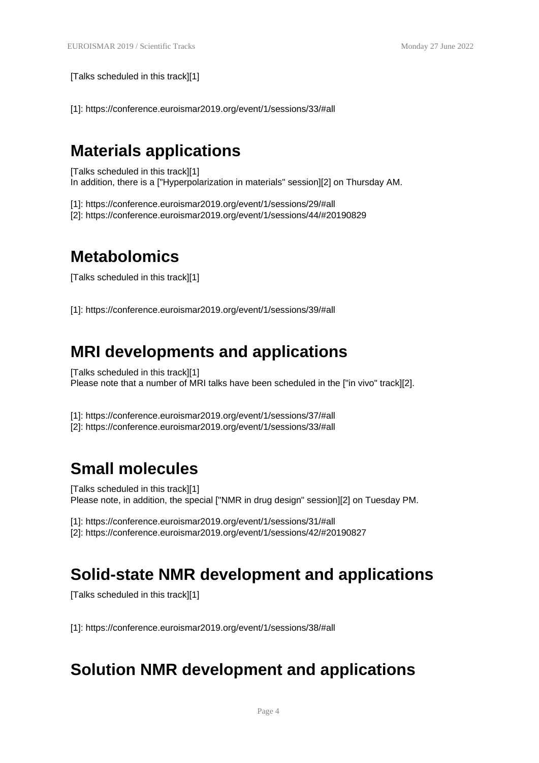[Talks scheduled in this track][1]

[1]: https://conference.euroismar2019.org/event/1/sessions/33/#all

#### **Materials applications**

[Talks scheduled in this track][1] In addition, there is a ["Hyperpolarization in materials" session][2] on Thursday AM.

[1]: https://conference.euroismar2019.org/event/1/sessions/29/#all

[2]: https://conference.euroismar2019.org/event/1/sessions/44/#20190829

## **Metabolomics**

[Talks scheduled in this track][1]

[1]: https://conference.euroismar2019.org/event/1/sessions/39/#all

## **MRI developments and applications**

[Talks scheduled in this track][1] Please note that a number of MRI talks have been scheduled in the ["in vivo" track][2].

[1]: https://conference.euroismar2019.org/event/1/sessions/37/#all

[2]: https://conference.euroismar2019.org/event/1/sessions/33/#all

#### **Small molecules**

[Talks scheduled in this track][1] Please note, in addition, the special ["NMR in drug design" session][2] on Tuesday PM.

[1]: https://conference.euroismar2019.org/event/1/sessions/31/#all

[2]: https://conference.euroismar2019.org/event/1/sessions/42/#20190827

#### **Solid-state NMR development and applications**

[Talks scheduled in this track][1]

[1]: https://conference.euroismar2019.org/event/1/sessions/38/#all

## **Solution NMR development and applications**